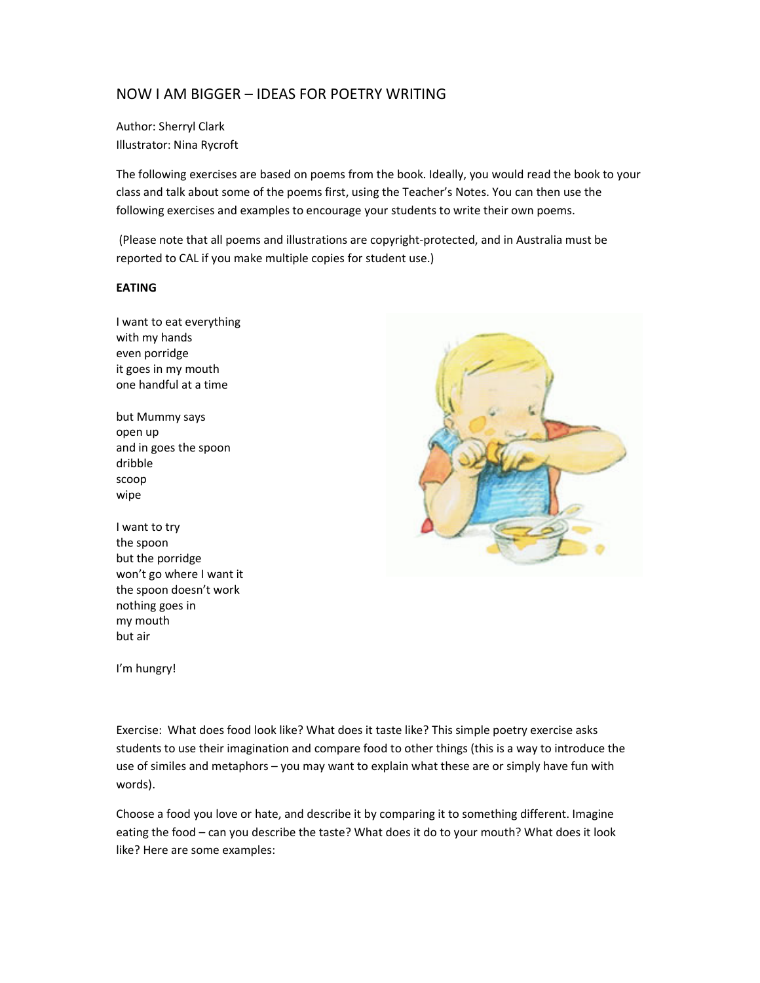# NOW I AM BIGGER – IDEAS FOR POETRY WRITING

Author: Sherryl Clark Illustrator: Nina Rycroft

The following exercises are based on poems from the book. Ideally, you would read the book to your class and talk about some of the poems first, using the Teacher's Notes. You can then use the following exercises and examples to encourage your students to write their own poems.

 (Please note that all poems and illustrations are copyright-protected, and in Australia must be reported to CAL if you make multiple copies for student use.)

### EATING

I want to eat everything with my hands even porridge it goes in my mouth one handful at a time

but Mummy says open up and in goes the spoon dribble scoop wipe

I want to try the spoon but the porridge won't go where I want it the spoon doesn't work nothing goes in my mouth but air

I'm hungry!

Exercise: What does food look like? What does it taste like? This simple poetry exercise asks students to use their imagination and compare food to other things (this is a way to introduce the use of similes and metaphors – you may want to explain what these are or simply have fun with words).

Choose a food you love or hate, and describe it by comparing it to something different. Imagine eating the food – can you describe the taste? What does it do to your mouth? What does it look like? Here are some examples: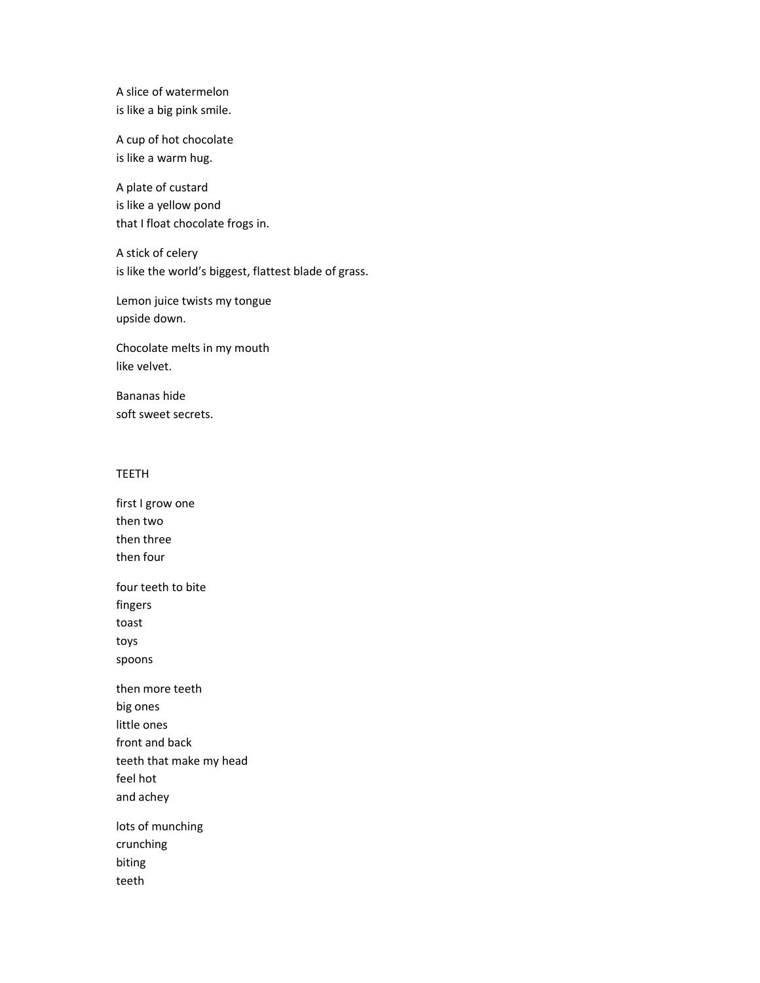A slice of watermelon is like a big pink smile.

A cup of hot chocolate is like a warm hug.

A plate of custard is like a yellow pond that I float chocolate frogs in.

A stick of celery is like the world's biggest, flattest blade of grass.

Lemon juice twists my tongue upside down.

Chocolate melts in my mouth like velvet.

Bananas hide soft sweet secrets.

# TEETH

first I grow one then two then three then four four teeth to bite fingers toast toys spoons then more teeth big ones little ones front and back teeth that make my head feel hot and achey lots of munching crunching biting teeth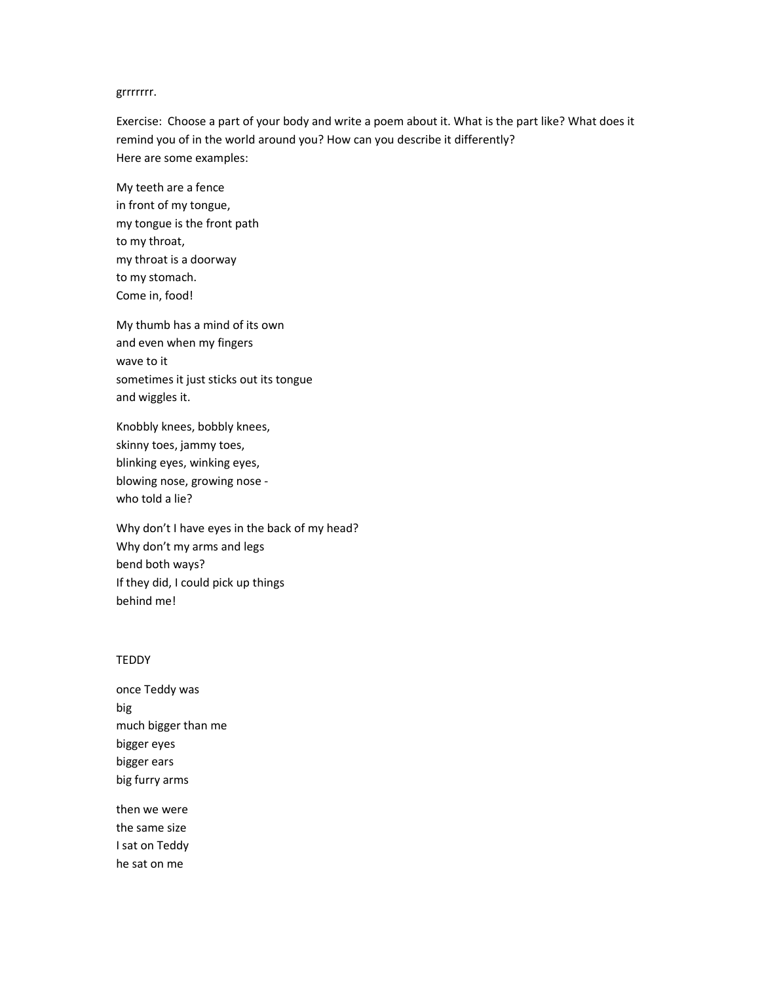#### grrrrrrr.

Exercise: Choose a part of your body and write a poem about it. What is the part like? What does it remind you of in the world around you? How can you describe it differently? Here are some examples:

My teeth are a fence in front of my tongue, my tongue is the front path to my throat, my throat is a doorway to my stomach. Come in, food!

My thumb has a mind of its own and even when my fingers wave to it sometimes it just sticks out its tongue and wiggles it.

Knobbly knees, bobbly knees, skinny toes, jammy toes, blinking eyes, winking eyes, blowing nose, growing nose who told a lie?

Why don't I have eyes in the back of my head? Why don't my arms and legs bend both ways? If they did, I could pick up things behind me!

## **TEDDY**

once Teddy was big much bigger than me bigger eyes bigger ears big furry arms

then we were the same size I sat on Teddy he sat on me